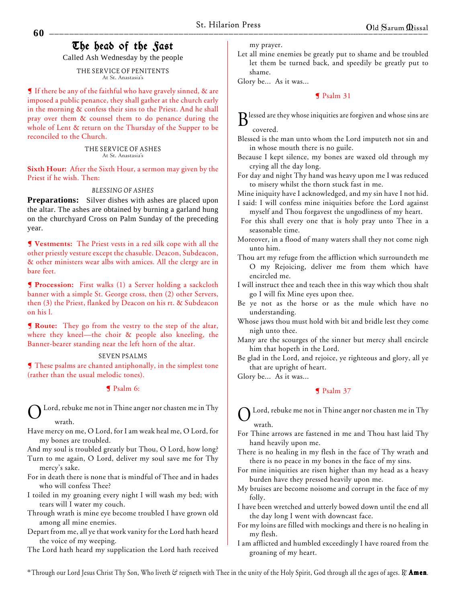# The head of the fast

Called Ash Wednesday by the people

THE SERVICE OF PENITENTS At St. Anastasia's

**¶** If there be any of the faithful who have gravely sinned, & are imposed a public penance, they shall gather at the church early in the morning & confess their sins to the Priest. And he shall pray over them & counsel them to do penance during the whole of Lent & return on the Thursday of the Supper to be reconciled to the Church.

> THE SERVICE OF ASHES At St. Anastasia's

**Sixth Hour:** After the Sixth Hour, a sermon may given by the Priest if he wish. Then:

#### *BLESSING OF ASHES*

**Preparations:** Silver dishes with ashes are placed upon the altar. The ashes are obtained by burning a garland hung on the churchyard Cross on Palm Sunday of the preceding year.

**¶ Vestments:** The Priest vests in a red silk cope with all the other priestly vesture except the chasuble. Deacon, Subdeacon, & other ministers wear albs with amices. All the clergy are in bare feet.

**¶ Procession:** First walks (1) a Server holding a sackcloth banner with a simple St. George cross, then (2) other Servers, then (3) the Priest, flanked by Deacon on his rt. & Subdeacon on his l.

**¶ Route:** They go from the vestry to the step of the altar, where they kneel—the choir & people also kneeling, the Banner-bearer standing near the left horn of the altar.

#### SEVEN PSALMS

**T** These psalms are chanted antiphonally, in the simplest tone (rather than the usual melodic tones).

### **¶** Psalm 6:

Lord, rebuke me not in Thine anger nor chasten me in Thy wrath.

Have mercy on me, O Lord, for I am weak heal me, O Lord, for my bones are troubled.

And my soul is troubled greatly but Thou, O Lord, how long?

Turn to me again, O Lord, deliver my soul save me for Thy mercy's sake.

- For in death there is none that is mindful of Thee and in hades who will confess Thee?
- I toiled in my groaning every night I will wash my bed; with tears will I water my couch.
- Through wrath is mine eye become troubled I have grown old among all mine enemies.
- Depart from me, all ye that work vanity for the Lord hath heard the voice of my weeping.

The Lord hath heard my supplication the Lord hath received

my prayer.

Let all mine enemies be greatly put to shame and be troubled let them be turned back, and speedily be greatly put to shame.

Glory be... As it was...

### **¶** Psalm 31

 $\mathbf B$  lessed are they whose iniquities are forgiven and whose sins are covered.

- Blessed is the man unto whom the Lord imputeth not sin and in whose mouth there is no guile.
- Because I kept silence, my bones are waxed old through my crying all the day long.
- For day and night Thy hand was heavy upon me I was reduced to misery whilst the thorn stuck fast in me.

Mine iniquity have I acknowledged, and my sin have I not hid.

- I said: I will confess mine iniquities before the Lord against myself and Thou forgavest the ungodliness of my heart.
- For this shall every one that is holy pray unto Thee in a seasonable time.
- Moreover, in a flood of many waters shall they not come nigh unto him.
- Thou art my refuge from the affliction which surroundeth me O my Rejoicing, deliver me from them which have encircled me.
- I will instruct thee and teach thee in this way which thou shalt go I will fix Mine eyes upon thee.
- Be ye not as the horse or as the mule which have no understanding.
- Whose jaws thou must hold with bit and bridle lest they come nigh unto thee.
- Many are the scourges of the sinner but mercy shall encircle him that hopeth in the Lord.
- Be glad in the Lord, and rejoice, ye righteous and glory, all ye that are upright of heart.

Glory be... As it was...

### **¶** Psalm 37

Lord, rebuke me not in Thine anger nor chasten me in Thy wrath.

- For Thine arrows are fastened in me and Thou hast laid Thy hand heavily upon me.
- There is no healing in my flesh in the face of Thy wrath and there is no peace in my bones in the face of my sins.
- For mine iniquities are risen higher than my head as a heavy burden have they pressed heavily upon me.
- My bruises are become noisome and corrupt in the face of my folly.
- I have been wretched and utterly bowed down until the end all the day long I went with downcast face.
- For my loins are filled with mockings and there is no healing in my flesh.
- I am afflicted and humbled exceedingly I have roared from the groaning of my heart.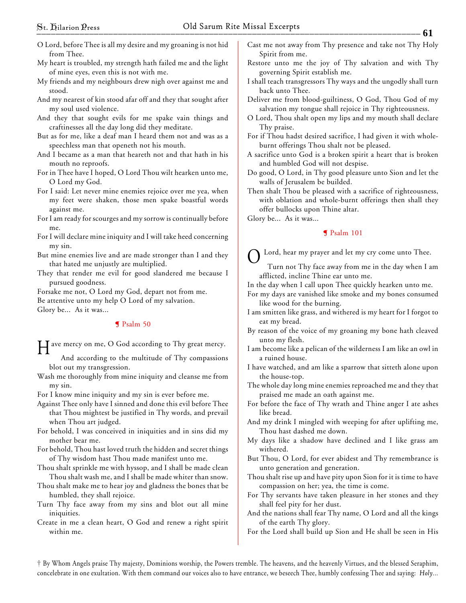- O Lord, before Thee is all my desire and my groaning is not hid from Thee.
- My heart is troubled, my strength hath failed me and the light of mine eyes, even this is not with me.
- My friends and my neighbours drew nigh over against me and stood.
- And my nearest of kin stood afar off and they that sought after my soul used violence.
- And they that sought evils for me spake vain things and craftinesses all the day long did they meditate.
- But as for me, like a deaf man I heard them not and was as a speechless man that openeth not his mouth.
- And I became as a man that heareth not and that hath in his mouth no reproofs.
- For in Thee have I hoped, O Lord Thou wilt hearken unto me, O Lord my God.
- For I said: Let never mine enemies rejoice over me yea, when my feet were shaken, those men spake boastful words against me.
- For I am ready for scourges and my sorrow is continually before me.
- For I will declare mine iniquity and I will take heed concerning my sin.
- But mine enemies live and are made stronger than I and they that hated me unjustly are multiplied.
- They that render me evil for good slandered me because I pursued goodness.
- Forsake me not, O Lord my God, depart not from me.
- Be attentive unto my help O Lord of my salvation.

Glory be... As it was...

#### **¶** Psalm 50

H ave mercy on me, O God according to Thy great mercy.

 And according to the multitude of Thy compassions blot out my transgression.

Wash me thoroughly from mine iniquity and cleanse me from my sin.

For I know mine iniquity and my sin is ever before me.

- Against Thee only have I sinned and done this evil before Thee that Thou mightest be justified in Thy words, and prevail when Thou art judged.
- For behold, I was conceived in iniquities and in sins did my mother bear me.
- For behold, Thou hast loved truth the hidden and secret things of Thy wisdom hast Thou made manifest unto me.
- Thou shalt sprinkle me with hyssop, and I shall be made clean Thou shalt wash me, and I shall be made whiter than snow.
- Thou shalt make me to hear joy and gladness the bones that be humbled, they shall rejoice.
- Turn Thy face away from my sins and blot out all mine iniquities.
- Create in me a clean heart, O God and renew a right spirit within me.
- Cast me not away from Thy presence and take not Thy Holy Spirit from me.
- Restore unto me the joy of Thy salvation and with Thy governing Spirit establish me.
- I shall teach transgressors Thy ways and the ungodly shall turn back unto Thee.
- Deliver me from blood-guiltiness, O God, Thou God of my salvation my tongue shall rejoice in Thy righteousness.
- O Lord, Thou shalt open my lips and my mouth shall declare Thy praise.
- For if Thou hadst desired sacrifice, I had given it with wholeburnt offerings Thou shalt not be pleased.
- A sacrifice unto God is a broken spirit a heart that is broken and humbled God will not despise.
- Do good, O Lord, in Thy good pleasure unto Sion and let the walls of Jerusalem be builded.

Then shalt Thou be pleased with a sacrifice of righteousness, with oblation and whole-burnt offerings then shall they offer bullocks upon Thine altar.

Glory be... As it was...

#### **¶** Psalm 101

Lord, hear my prayer and let my cry come unto Thee.

 Turn not Thy face away from me in the day when I am afflicted, incline Thine ear unto me.

- In the day when I call upon Thee quickly hearken unto me.
- For my days are vanished like smoke and my bones consumed like wood for the burning.
- I am smitten like grass, and withered is my heart for I forgot to eat my bread.
- By reason of the voice of my groaning my bone hath cleaved unto my flesh.
- I am become like a pelican of the wilderness I am like an owl in a ruined house.
- I have watched, and am like a sparrow that sitteth alone upon the house-top.
- The whole day long mine enemies reproached me and they that praised me made an oath against me.
- For before the face of Thy wrath and Thine anger I ate ashes like bread.
- And my drink I mingled with weeping for after uplifting me, Thou hast dashed me down.
- My days like a shadow have declined and I like grass am withered.
- But Thou, O Lord, for ever abidest and Thy remembrance is unto generation and generation.
- Thou shalt rise up and have pity upon Sion for it is time to have compassion on her; yea, the time is come.
- For Thy servants have taken pleasure in her stones and they shall feel pity for her dust.
- And the nations shall fear Thy name, O Lord and all the kings of the earth Thy glory.
- For the Lord shall build up Sion and He shall be seen in His

† By Whom Angels praise Thy majesty, Dominions worship, the Powers tremble. The heavens, and the heavenly Virtues, and the blessed Seraphim, concelebrate in one exultation. With them command our voices also to have entrance, we beseech Thee, humbly confessing Thee and saying: *Holy...*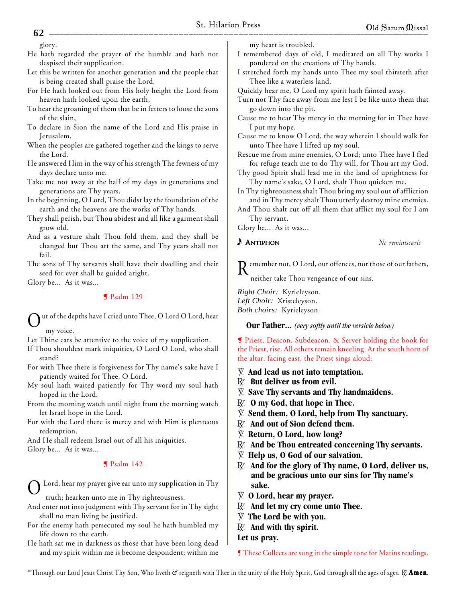- glory.
- He hath regarded the prayer of the humble and hath not despised their supplication.
- Let this be written for another generation and the people that is being created shall praise the Lord.
- For He hath looked out from His holy height the Lord from heaven hath looked upon the earth,
- To hear the groaning of them that be in fetters to loose the sons of the slain,
- To declare in Sion the name of the Lord and His praise in Jerusalem,
- When the peoples are gathered together and the kings to serve the Lord.
- He answered Him in the way of his strength The fewness of my days declare unto me.
- Take me not away at the half of my days in generations and generations are Thy years.
- In the beginning, O Lord, Thou didst lay the foundation of the earth and the heavens are the works of Thy hands.
- They shall perish, but Thou abidest and all like a garment shall grow old.
- And as a vesture shalt Thou fold them, and they shall be changed but Thou art the same, and Thy years shall not fail.
- The sons of Thy servants shall have their dwelling and their seed for ever shall be guided aright.

Glory be... As it was...

#### **¶** Psalm 129

ut of the depths have I cried unto Thee, O Lord O Lord, hear my voice.

Let Thine ears be attentive to the voice of my supplication.

- If Thou shouldest mark iniquities, O Lord O Lord, who shall stand?
- For with Thee there is forgiveness for Thy name's sake have I patiently waited for Thee, O Lord.
- My soul hath waited patiently for Thy word my soul hath hoped in the Lord.
- From the morning watch until night from the morning watch let Israel hope in the Lord.
- For with the Lord there is mercy and with Him is plenteous redemption.

And He shall redeem Israel out of all his iniquities. Glory be... As it was...

#### **¶** Psalm 142

Lord, hear my prayer give ear unto my supplication in Thy

truth; hearken unto me in Thy righteousness.

And enter not into judgment with Thy servant for in Thy sight shall no man living be justified.

For the enemy hath persecuted my soul he hath humbled my life down to the earth.

He hath sat me in darkness as those that have been long dead and my spirit within me is become despondent; within me my heart is troubled.

- I remembered days of old, I meditated on all Thy works I pondered on the creations of Thy hands.
- I stretched forth my hands unto Thee my soul thirsteth after Thee like a waterless land.
- Quickly hear me, O Lord my spirit hath fainted away.
- Turn not Thy face away from me lest I be like unto them that go down into the pit.
- Cause me to hear Thy mercy in the morning for in Thee have I put my hope.
- Cause me to know O Lord, the way wherein I should walk for unto Thee have I lifted up my soul.

Rescue me from mine enemies, O Lord; unto Thee have I fled for refuge teach me to do Thy will, for Thou art my God.

Thy good Spirit shall lead me in the land of uprightness for Thy name's sake, O Lord, shalt Thou quicken me.

In Thy righteousness shalt Thou bring my soul out of affliction and in Thy mercy shalt Thou utterly destroy mine enemies.

And Thou shalt cut off all them that afflict my soul for I am Thy servant.

Glory be... As it was...

#### ¦ ANTIPHON *Ne reminiscaris*

Remember not, O Lord, our offences, nor those of our fathers,

neither take Thou vengeance of our sins.

*Right Choir:* Kyrieleyson. *Left Choir:* Xristeleyson. *Both choirs:* Kyrieleyson.

#### **Our Father...** *(very softly until the versicle below)*

**¶** Priest, Deacon, Subdeacon, & Server holding the book for the Priest, rise. All others remain kneeling. At the south horn of the altar, facing east, the Priest sings aloud:

- $\mathbb{V}$ . And lead us not into temptation.
- **R.** But deliver us from evil.
- = **Save Thy servants and Thy handmaidens.**
- + **O my God, that hope in Thee.**
- = **Send them, O Lord, help from Thy sanctuary.**
- $\mathbb{R}^n$  And out of Sion defend them.
- = **Return, O Lord, how long?**
- $\mathbb{R}^n$ . And be Thou entreated concerning Thy servants.
- = **Help us, O God of our salvation.**
- $\mathbb{R}^n$  And for the glory of Thy name, O Lord, deliver us, **and be gracious unto our sins for Thy name's sake.**
- = **O Lord, hear my prayer.**
- $\mathbb{R}^n$  And let my cry come unto Thee.
- = **The Lord be with you.**
- $\mathbb{R}$ <sup>*z*</sup> And with thy spirit.

#### **Let us pray.**

**¶** These Collects are sung in the simple tone for Matins readings.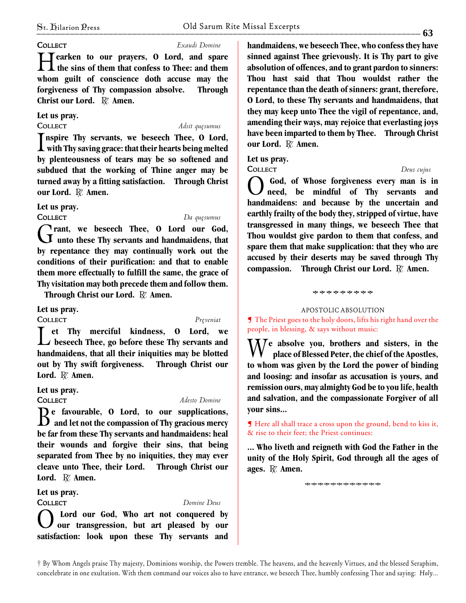### COLLECT *Exaudi Domine*

H**earken to our prayers, O Lord, and spare the sins of them that confess to Thee: and them whom guilt of conscience doth accuse may the forgiveness of Thy compassion absolve. Through Christ our Lord.** R. Amen.

**Let us pray.**

COLLECT Adsit que sumus

**I** is a uspire Thy servants, we beseech Thee, 0 Lord, with Thy saving grace: that their hearts being melted **nspire Thy servants, we beseech Thee, O Lord, by plenteousness of tears may be so softened and subdued that the working of Thine anger may be turned away by a fitting satisfaction. Through Christ** our Lord. R. Amen.

**Let us pray.**

**COLLECT** *Da quesumus* 

G**rant, we beseech Thee, O Lord our God, unto these Thy servants and handmaidens, that by repentance they may continually work out the conditions of their purification: and that to enable them more effectually to fulfill the same, the grace of Thy visitation may both precede them and follow them.**

 **Through Christ our Lord.**  $\mathbb{R}^n$  Amen.

**Let us pray.**

**COLLECT** *Preveniat* 

L**et Thy merciful kindness, O Lord, we beseech Thee, go before these Thy servants and handmaidens, that all their iniquities may be blotted out by Thy swift forgiveness. Through Christ our** Lord. **R.** Amen.

**Let us pray.**

COLLECT *Adesto Domine*

B**e favourable, O Lord, to our supplications, and let not the compassion of Thy gracious mercy be far from these Thy servants and handmaidens: heal their wounds and forgive their sins, that being separated from Thee by no iniquities, they may ever cleave unto Thee, their Lord. Through Christ our** Lord.  $\mathbb{R}$  Amen.

**Let us pray.**

COLLECT *Domine Deus*

O **Lord our God, Who art not conquered by our transgression, but art pleased by our satisfaction: look upon these Thy servants and** **handmaidens, we beseech Thee, who confess they have sinned against Thee grievously. It is Thy part to give absolution of offences, and to grant pardon to sinners: Thou hast said that Thou wouldst rather the repentance than the death of sinners: grant, therefore, O Lord, to these Thy servants and handmaidens, that they may keep unto Thee the vigil of repentance, and, amending their ways, may rejoice that everlasting joys have been imparted to them by Thee. Through Christ** our Lord. R. Amen.

**Let us pray.**

COLLECT *Deus cujus*

O **God, of Whose forgiveness every man is in need, be mindful of Thy servants and handmaidens: and because by the uncertain and earthly frailty of the body they, stripped of virtue, have transgressed in many things, we beseech Thee that Thou wouldst give pardon to them that confess, and spare them that make supplication: that they who are accused by their deserts may be saved through Thy compassion.** Through Christ our Lord. R. Amen.

III aha aha aha aha aha aha aha aha

APOSTOLIC ABSOLUTION

**¶** The Priest goes to the holy doors, lifts his right hand over the people, in blessing, & says without music:

W**e absolve you, brothers and sisters, in the place of Blessed Peter, the chief of the Apostles, to whom was given by the Lord the power of binding and loosing: and insofar as accusation is yours, and remission ours, may almighty God be to you life, health and salvation, and the compassionate Forgiver of all your sins...**

**¶** Here all shall trace a cross upon the ground, bend to kiss it, & rise to their feet; the Priest continues:

**... Who liveth and reigneth with God the Father in the unity of the Holy Spirit, God through all the ages of** ages. **R.** Amen.

יקאים מקאים מקאים מקווים מקאים מקאים מקאים מקווים מקאים מקאים מקווי

† By Whom Angels praise Thy majesty, Dominions worship, the Powers tremble. The heavens, and the heavenly Virtues, and the blessed Seraphim, concelebrate in one exultation. With them command our voices also to have entrance, we beseech Thee, humbly confessing Thee and saying: *Holy...*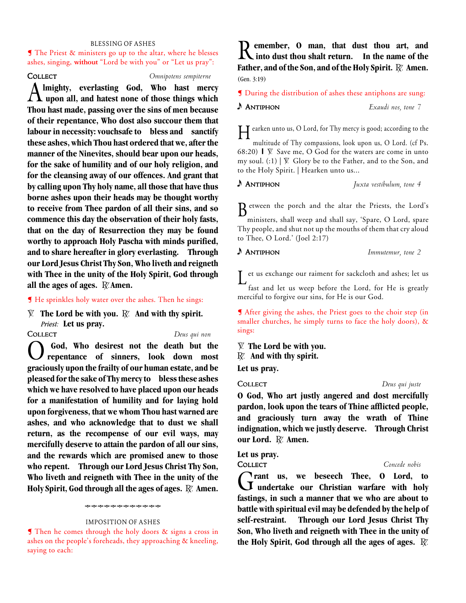#### BLESSING OF ASHES

*¶* The Priest & ministers go up to the altar, where he blesses ashes, singing, **without** "Lord be with you" or "Let us pray":

#### COLLECT *Omnipotens sempiterne*

A**lmighty, everlasting God, Who hast mercy upon all, and hatest none of those things which Thou hast made, passing over the sins of men because of their repentance, Who dost also succour them that labour in necessity: vouchsafe to bless and sanctify these ashes, which Thou hast ordered that we, after the manner of the Ninevites, should bear upon our heads, for the sake of humility and of our holy religion, and for the cleansing away of our offences. And grant that by calling upon Thy holy name, all those that have thus borne ashes upon their heads may be thought worthy to receive from Thee pardon of all their sins, and so commence this day the observation of their holy fasts, that on the day of Resurrection they may be found worthy to approach Holy Pascha with minds purified, and to share hereafter in glory everlasting. Through our Lord Jesus Christ Thy Son, Who liveth and reigneth with Thee in the unity of the Holy Spirit, God through all the ages of ages. R. Amen.** 

**¶** He sprinkles holy water over the ashes. Then he sings:

 $\mathbb{V}$  The Lord be with you.  $\mathbb{R}$  And with thy spirit. *Priest:* **Let us pray.**

COLLECT *Deus qui non*

O **God, Who desirest not the death but the repentance of sinners, look down most graciously upon the frailty of our human estate, and be pleased for the sake of Thy mercy to bless these ashes which we have resolved to have placed upon our heads for a manifestation of humility and for laying hold upon forgiveness, that we whom Thou hast warned are ashes, and who acknowledge that to dust we shall return, as the recompense of our evil ways, may mercifully deserve to attain the pardon of all our sins, and the rewards which are promised anew to those who repent. Through our Lord Jesus Christ Thy Son, Who liveth and reigneth with Thee in the unity of the Holy Spirit, God through all the ages of ages.**  $\mathbb{R}^n$  Amen.

## IIIIIIIIIIII IMPOSITION OF ASHES

**Then** he comes through the holy doors & signs a cross in ashes on the people's foreheads, they approaching & kneeling, saying to each:

# R**emember, O man, that dust thou art, and into dust thou shalt return. In the name of the** Father, and of the Son, and of the Holy Spirit. R. Amen. (Gen. 3:19)

**¶** During the distribution of ashes these antiphons are sung:

¦ ANTIPHON *Exaudi nos, tone 7*

earken unto us, O Lord, for Thy mercy is good; according to the

multitude of Thy compassions, look upon us, O Lord. (cf Ps. 68:20) **|**  $\check{Y}$ . Save me, O God for the waters are come in unto my soul. (:1)  $|\nabla$  Glory be to the Father, and to the Son, and to the Holy Spirit. | Hearken unto us...

¦ ANTIPHON *Juxta vestibulum, tone 4*

Between the porch and the altar the Priests, the Lord's

ministers, shall weep and shall say, 'Spare, O Lord, spare Thy people, and shut not up the mouths of them that cry aloud to Thee, O Lord.' (Joel 2:17)

**ANTIPHON** *Immutemur, tone 2* 

et us exchange our raiment for sackcloth and ashes; let us

fast and let us weep before the Lord, for He is greatly merciful to forgive our sins, for He is our God.

*¶* After giving the ashes, the Priest goes to the choir step (in smaller churches, he simply turns to face the holy doors), & sings:

 $\mathbb{V}$ . The Lord be with you.  $\mathbb{R}$ <sup>*z*</sup> And with thy spirit. **Let us pray.**

#### COLLECT *Deus qui juste*

**O God, Who art justly angered and dost mercifully pardon, look upon the tears of Thine afflicted people, and graciously turn away the wrath of Thine indignation, which we justly deserve. Through Christ** our Lord. R. Amen.

**Let us pray.**

COLLECT *Concede nobis*

G**rant us, we beseech Thee, O Lord, to undertake our Christian warfare with holy fastings, in such a manner that we who are about to battle with spiritual evil may be defended by the help of self-restraint. Through our Lord Jesus Christ Thy Son, Who liveth and reigneth with Thee in the unity of the Holy Spirit, God through all the ages of ages.** +